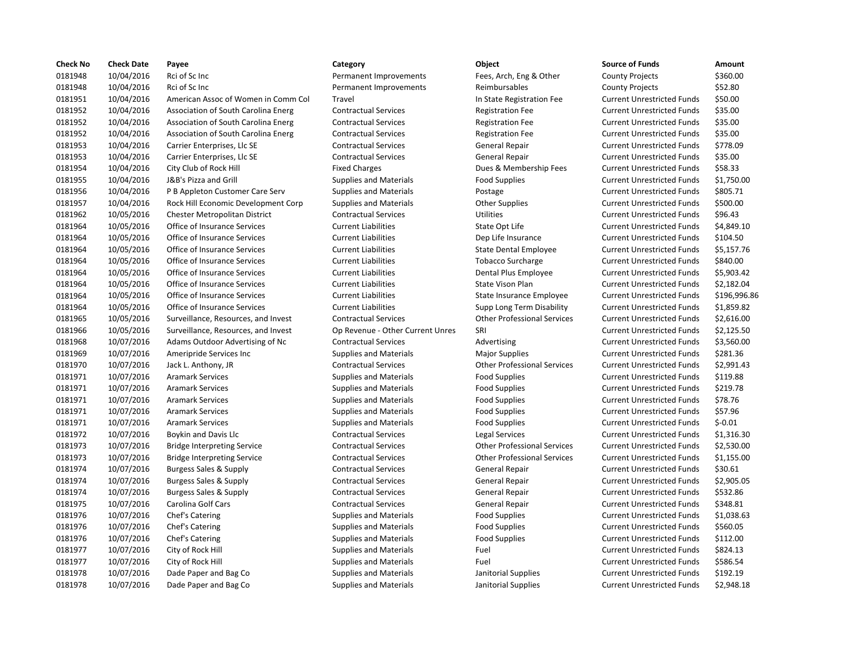| <b>Check No</b> | <b>Check Date</b> | Payee                               | Category                         | Object                             | <b>Source of Funds</b>            | Amount    |
|-----------------|-------------------|-------------------------------------|----------------------------------|------------------------------------|-----------------------------------|-----------|
| 0181948         | 10/04/2016        | Rci of Sc Inc                       | Permanent Improvements           | Fees, Arch, Eng & Other            | <b>County Projects</b>            | \$360.00  |
| 0181948         | 10/04/2016        | Rci of Sc Inc                       | Permanent Improvements           | Reimbursables                      | <b>County Projects</b>            | \$52.80   |
| 0181951         | 10/04/2016        | American Assoc of Women in Comm Col | Travel                           | In State Registration Fee          | <b>Current Unrestricted Funds</b> | \$50.00   |
| 0181952         | 10/04/2016        | Association of South Carolina Energ | <b>Contractual Services</b>      | <b>Registration Fee</b>            | <b>Current Unrestricted Funds</b> | \$35.00   |
| 0181952         | 10/04/2016        | Association of South Carolina Energ | <b>Contractual Services</b>      | <b>Registration Fee</b>            | <b>Current Unrestricted Funds</b> | \$35.00   |
| 0181952         | 10/04/2016        | Association of South Carolina Energ | <b>Contractual Services</b>      | <b>Registration Fee</b>            | <b>Current Unrestricted Funds</b> | \$35.00   |
| 0181953         | 10/04/2016        | Carrier Enterprises, Llc SE         | <b>Contractual Services</b>      | General Repair                     | <b>Current Unrestricted Funds</b> | \$778.09  |
| 0181953         | 10/04/2016        | Carrier Enterprises, Llc SE         | <b>Contractual Services</b>      | <b>General Repair</b>              | <b>Current Unrestricted Funds</b> | \$35.00   |
| 0181954         | 10/04/2016        | City Club of Rock Hill              | <b>Fixed Charges</b>             | Dues & Membership Fees             | <b>Current Unrestricted Funds</b> | \$58.33   |
| 0181955         | 10/04/2016        | J&B's Pizza and Grill               | <b>Supplies and Materials</b>    | <b>Food Supplies</b>               | <b>Current Unrestricted Funds</b> | \$1,750.0 |
| 0181956         | 10/04/2016        | P B Appleton Customer Care Serv     | <b>Supplies and Materials</b>    | Postage                            | <b>Current Unrestricted Funds</b> | \$805.71  |
| 0181957         | 10/04/2016        | Rock Hill Economic Development Corp | <b>Supplies and Materials</b>    | <b>Other Supplies</b>              | <b>Current Unrestricted Funds</b> | \$500.00  |
| 0181962         | 10/05/2016        | Chester Metropolitan District       | <b>Contractual Services</b>      | <b>Utilities</b>                   | <b>Current Unrestricted Funds</b> | \$96.43   |
| 0181964         | 10/05/2016        | Office of Insurance Services        | <b>Current Liabilities</b>       | State Opt Life                     | <b>Current Unrestricted Funds</b> | \$4,849.1 |
| 0181964         | 10/05/2016        | Office of Insurance Services        | <b>Current Liabilities</b>       | Dep Life Insurance                 | <b>Current Unrestricted Funds</b> | \$104.50  |
| 0181964         | 10/05/2016        | Office of Insurance Services        | <b>Current Liabilities</b>       | <b>State Dental Employee</b>       | <b>Current Unrestricted Funds</b> | \$5,157.7 |
| 0181964         | 10/05/2016        | Office of Insurance Services        | <b>Current Liabilities</b>       | <b>Tobacco Surcharge</b>           | <b>Current Unrestricted Funds</b> | \$840.00  |
| 0181964         | 10/05/2016        | Office of Insurance Services        | <b>Current Liabilities</b>       | Dental Plus Employee               | <b>Current Unrestricted Funds</b> | \$5,903.4 |
| 0181964         | 10/05/2016        | Office of Insurance Services        | <b>Current Liabilities</b>       | State Vison Plan                   | <b>Current Unrestricted Funds</b> | \$2.182.0 |
| 0181964         | 10/05/2016        | Office of Insurance Services        | <b>Current Liabilities</b>       | State Insurance Employee           | <b>Current Unrestricted Funds</b> | \$196,99  |
| 0181964         | 10/05/2016        | Office of Insurance Services        | <b>Current Liabilities</b>       | Supp Long Term Disability          | <b>Current Unrestricted Funds</b> | \$1,859.8 |
| 0181965         | 10/05/2016        | Surveillance, Resources, and Invest | <b>Contractual Services</b>      | <b>Other Professional Services</b> | <b>Current Unrestricted Funds</b> | \$2,616.0 |
| 0181966         | 10/05/2016        | Surveillance, Resources, and Invest | Op Revenue - Other Current Unres | SRI                                | <b>Current Unrestricted Funds</b> | \$2,125.5 |
| 0181968         | 10/07/2016        | Adams Outdoor Advertising of Nc     | <b>Contractual Services</b>      | Advertising                        | <b>Current Unrestricted Funds</b> | \$3,560.0 |
| 0181969         | 10/07/2016        | Ameripride Services Inc             | <b>Supplies and Materials</b>    | <b>Major Supplies</b>              | <b>Current Unrestricted Funds</b> | \$281.36  |
| 0181970         | 10/07/2016        | Jack L. Anthony, JR                 | <b>Contractual Services</b>      | <b>Other Professional Services</b> | <b>Current Unrestricted Funds</b> | \$2,991.4 |
| 0181971         | 10/07/2016        | <b>Aramark Services</b>             | <b>Supplies and Materials</b>    | <b>Food Supplies</b>               | <b>Current Unrestricted Funds</b> | \$119.88  |
| 0181971         | 10/07/2016        | <b>Aramark Services</b>             | <b>Supplies and Materials</b>    | <b>Food Supplies</b>               | <b>Current Unrestricted Funds</b> | \$219.78  |
| 0181971         | 10/07/2016        | <b>Aramark Services</b>             | <b>Supplies and Materials</b>    | <b>Food Supplies</b>               | <b>Current Unrestricted Funds</b> | \$78.76   |
| 0181971         | 10/07/2016        | <b>Aramark Services</b>             | <b>Supplies and Materials</b>    | <b>Food Supplies</b>               | <b>Current Unrestricted Funds</b> | \$57.96   |
| 0181971         | 10/07/2016        | <b>Aramark Services</b>             | <b>Supplies and Materials</b>    | <b>Food Supplies</b>               | <b>Current Unrestricted Funds</b> | $$-0.01$  |
| 0181972         | 10/07/2016        | Boykin and Davis Llc                | <b>Contractual Services</b>      | Legal Services                     | <b>Current Unrestricted Funds</b> | \$1,316.3 |
| 0181973         | 10/07/2016        | <b>Bridge Interpreting Service</b>  | <b>Contractual Services</b>      | <b>Other Professional Services</b> | <b>Current Unrestricted Funds</b> | \$2,530.0 |
| 0181973         | 10/07/2016        | <b>Bridge Interpreting Service</b>  | <b>Contractual Services</b>      | <b>Other Professional Services</b> | <b>Current Unrestricted Funds</b> | \$1,155.0 |
| 0181974         | 10/07/2016        | Burgess Sales & Supply              | <b>Contractual Services</b>      | <b>General Repair</b>              | <b>Current Unrestricted Funds</b> | \$30.61   |
| 0181974         | 10/07/2016        | <b>Burgess Sales &amp; Supply</b>   | <b>Contractual Services</b>      | <b>General Repair</b>              | <b>Current Unrestricted Funds</b> | \$2,905.0 |
| 0181974         | 10/07/2016        | Burgess Sales & Supply              | <b>Contractual Services</b>      | General Repair                     | <b>Current Unrestricted Funds</b> | \$532.86  |
| 0181975         | 10/07/2016        | Carolina Golf Cars                  | <b>Contractual Services</b>      | <b>General Repair</b>              | <b>Current Unrestricted Funds</b> | \$348.81  |
| 0181976         | 10/07/2016        | Chef's Catering                     | <b>Supplies and Materials</b>    | <b>Food Supplies</b>               | <b>Current Unrestricted Funds</b> | \$1,038.6 |
| 0181976         | 10/07/2016        | Chef's Catering                     | <b>Supplies and Materials</b>    | <b>Food Supplies</b>               | <b>Current Unrestricted Funds</b> | \$560.05  |
| 0181976         | 10/07/2016        | Chef's Catering                     | <b>Supplies and Materials</b>    | <b>Food Supplies</b>               | <b>Current Unrestricted Funds</b> | \$112.00  |
| 0181977         | 10/07/2016        | City of Rock Hill                   | <b>Supplies and Materials</b>    | Fuel                               | <b>Current Unrestricted Funds</b> | \$824.13  |
| 0181977         | 10/07/2016        | City of Rock Hill                   | <b>Supplies and Materials</b>    | Fuel                               | <b>Current Unrestricted Funds</b> | \$586.54  |
| 0181978         | 10/07/2016        | Dade Paper and Bag Co               | <b>Supplies and Materials</b>    | Janitorial Supplies                | <b>Current Unrestricted Funds</b> | \$192.19  |
| 0181978         | 10/07/2016        | Dade Paper and Bag Co               | <b>Supplies and Materials</b>    | Janitorial Supplies                | <b>Current Unrestricted Funds</b> | \$2.948.1 |

# 0181978 10/07/2016 Dade Paper and Bag Co Supplies and Materials Janitorial Supplies Current Unrestricted Funds \$2,948.18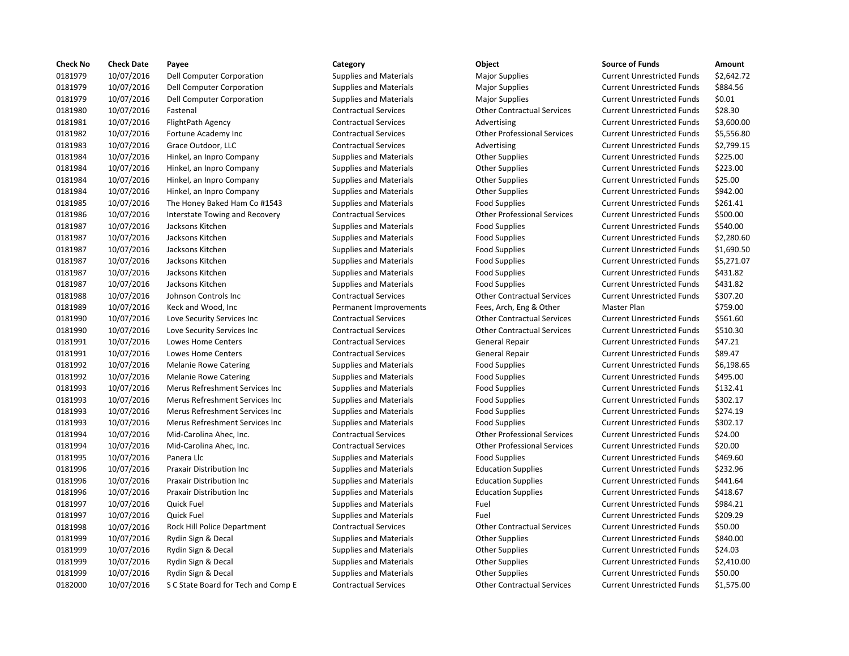| <b>Check No</b> | <b>Check Date</b> | Payee                               | Category                      | <b>Object</b>                      | <b>Source of Funds</b>            | Amount     |
|-----------------|-------------------|-------------------------------------|-------------------------------|------------------------------------|-----------------------------------|------------|
| 0181979         | 10/07/2016        | Dell Computer Corporation           | <b>Supplies and Materials</b> | <b>Major Supplies</b>              | <b>Current Unrestricted Funds</b> | \$2,642.72 |
| 0181979         | 10/07/2016        | Dell Computer Corporation           | <b>Supplies and Materials</b> | <b>Major Supplies</b>              | <b>Current Unrestricted Funds</b> | \$884.56   |
| 0181979         | 10/07/2016        | Dell Computer Corporation           | <b>Supplies and Materials</b> | <b>Major Supplies</b>              | <b>Current Unrestricted Funds</b> | \$0.01     |
| 0181980         | 10/07/2016        | Fastenal                            | <b>Contractual Services</b>   | <b>Other Contractual Services</b>  | <b>Current Unrestricted Funds</b> | \$28.30    |
| 0181981         | 10/07/2016        | FlightPath Agency                   | <b>Contractual Services</b>   | Advertising                        | <b>Current Unrestricted Funds</b> | \$3,600.00 |
| 0181982         | 10/07/2016        | Fortune Academy Inc                 | <b>Contractual Services</b>   | <b>Other Professional Services</b> | <b>Current Unrestricted Funds</b> | \$5,556.80 |
| 0181983         | 10/07/2016        | Grace Outdoor, LLC                  | <b>Contractual Services</b>   | Advertising                        | <b>Current Unrestricted Funds</b> | \$2,799.15 |
| 0181984         | 10/07/2016        | Hinkel, an Inpro Company            | <b>Supplies and Materials</b> | <b>Other Supplies</b>              | <b>Current Unrestricted Funds</b> | \$225.00   |
| 0181984         | 10/07/2016        | Hinkel, an Inpro Company            | <b>Supplies and Materials</b> | <b>Other Supplies</b>              | <b>Current Unrestricted Funds</b> | \$223.00   |
| 0181984         | 10/07/2016        | Hinkel, an Inpro Company            | <b>Supplies and Materials</b> | <b>Other Supplies</b>              | <b>Current Unrestricted Funds</b> | \$25.00    |
| 0181984         | 10/07/2016        | Hinkel, an Inpro Company            | <b>Supplies and Materials</b> | <b>Other Supplies</b>              | <b>Current Unrestricted Funds</b> | \$942.00   |
| 0181985         | 10/07/2016        | The Honey Baked Ham Co #1543        | <b>Supplies and Materials</b> | <b>Food Supplies</b>               | <b>Current Unrestricted Funds</b> | \$261.41   |
| 0181986         | 10/07/2016        | Interstate Towing and Recovery      | <b>Contractual Services</b>   | <b>Other Professional Services</b> | <b>Current Unrestricted Funds</b> | \$500.00   |
| 0181987         | 10/07/2016        | Jacksons Kitchen                    | <b>Supplies and Materials</b> | <b>Food Supplies</b>               | <b>Current Unrestricted Funds</b> | \$540.00   |
| 0181987         | 10/07/2016        | Jacksons Kitchen                    | <b>Supplies and Materials</b> | <b>Food Supplies</b>               | <b>Current Unrestricted Funds</b> | \$2,280.60 |
| 0181987         | 10/07/2016        | Jacksons Kitchen                    | <b>Supplies and Materials</b> | <b>Food Supplies</b>               | <b>Current Unrestricted Funds</b> | \$1,690.50 |
| 0181987         | 10/07/2016        | Jacksons Kitchen                    | <b>Supplies and Materials</b> | <b>Food Supplies</b>               | <b>Current Unrestricted Funds</b> | \$5,271.07 |
| 0181987         | 10/07/2016        | Jacksons Kitchen                    | <b>Supplies and Materials</b> | <b>Food Supplies</b>               | <b>Current Unrestricted Funds</b> | \$431.82   |
| 0181987         | 10/07/2016        | Jacksons Kitchen                    | <b>Supplies and Materials</b> | <b>Food Supplies</b>               | <b>Current Unrestricted Funds</b> | \$431.82   |
| 0181988         | 10/07/2016        | Johnson Controls Inc                | <b>Contractual Services</b>   | <b>Other Contractual Services</b>  | <b>Current Unrestricted Funds</b> | \$307.20   |
| 0181989         | 10/07/2016        | Keck and Wood, Inc.                 | Permanent Improvements        | Fees, Arch, Eng & Other            | Master Plan                       | \$759.00   |
| 0181990         | 10/07/2016        | Love Security Services Inc          | <b>Contractual Services</b>   | <b>Other Contractual Services</b>  | <b>Current Unrestricted Funds</b> | \$561.60   |
| 0181990         | 10/07/2016        | Love Security Services Inc          | <b>Contractual Services</b>   | <b>Other Contractual Services</b>  | <b>Current Unrestricted Funds</b> | \$510.30   |
| 0181991         | 10/07/2016        | Lowes Home Centers                  | <b>Contractual Services</b>   | <b>General Repair</b>              | <b>Current Unrestricted Funds</b> | \$47.21    |
| 0181991         | 10/07/2016        | Lowes Home Centers                  | <b>Contractual Services</b>   | General Repair                     | <b>Current Unrestricted Funds</b> | \$89.47    |
| 0181992         | 10/07/2016        | <b>Melanie Rowe Catering</b>        | <b>Supplies and Materials</b> | <b>Food Supplies</b>               | <b>Current Unrestricted Funds</b> | \$6,198.65 |
| 0181992         | 10/07/2016        | <b>Melanie Rowe Catering</b>        | <b>Supplies and Materials</b> | <b>Food Supplies</b>               | <b>Current Unrestricted Funds</b> | \$495.00   |
| 0181993         | 10/07/2016        | Merus Refreshment Services Inc      | <b>Supplies and Materials</b> | <b>Food Supplies</b>               | <b>Current Unrestricted Funds</b> | \$132.41   |
| 0181993         | 10/07/2016        | Merus Refreshment Services Inc      | <b>Supplies and Materials</b> | <b>Food Supplies</b>               | <b>Current Unrestricted Funds</b> | \$302.17   |
| 0181993         | 10/07/2016        | Merus Refreshment Services Inc      | <b>Supplies and Materials</b> | <b>Food Supplies</b>               | <b>Current Unrestricted Funds</b> | \$274.19   |
| 0181993         | 10/07/2016        | Merus Refreshment Services Inc      | <b>Supplies and Materials</b> | <b>Food Supplies</b>               | <b>Current Unrestricted Funds</b> | \$302.17   |
| 0181994         | 10/07/2016        | Mid-Carolina Ahec, Inc.             | <b>Contractual Services</b>   | <b>Other Professional Services</b> | <b>Current Unrestricted Funds</b> | \$24.00    |
| 0181994         | 10/07/2016        | Mid-Carolina Ahec, Inc.             | <b>Contractual Services</b>   | <b>Other Professional Services</b> | <b>Current Unrestricted Funds</b> | \$20.00    |
| 0181995         | 10/07/2016        | Panera Llc                          | <b>Supplies and Materials</b> | <b>Food Supplies</b>               | <b>Current Unrestricted Funds</b> | \$469.60   |
| 0181996         | 10/07/2016        | Praxair Distribution Inc            | <b>Supplies and Materials</b> | <b>Education Supplies</b>          | <b>Current Unrestricted Funds</b> | \$232.96   |
| 0181996         | 10/07/2016        | <b>Praxair Distribution Inc</b>     | <b>Supplies and Materials</b> | <b>Education Supplies</b>          | <b>Current Unrestricted Funds</b> | \$441.64   |
| 0181996         | 10/07/2016        | Praxair Distribution Inc            | <b>Supplies and Materials</b> | <b>Education Supplies</b>          | <b>Current Unrestricted Funds</b> | \$418.67   |
| 0181997         | 10/07/2016        | Quick Fuel                          | <b>Supplies and Materials</b> | Fuel                               | <b>Current Unrestricted Funds</b> | \$984.21   |
| 0181997         | 10/07/2016        | <b>Quick Fuel</b>                   | <b>Supplies and Materials</b> | Fuel                               | <b>Current Unrestricted Funds</b> | \$209.29   |
| 0181998         | 10/07/2016        | Rock Hill Police Department         | <b>Contractual Services</b>   | <b>Other Contractual Services</b>  | <b>Current Unrestricted Funds</b> | \$50.00    |
| 0181999         | 10/07/2016        | Rydin Sign & Decal                  | <b>Supplies and Materials</b> | <b>Other Supplies</b>              | <b>Current Unrestricted Funds</b> | \$840.00   |
| 0181999         | 10/07/2016        | Rydin Sign & Decal                  | <b>Supplies and Materials</b> | <b>Other Supplies</b>              | <b>Current Unrestricted Funds</b> | \$24.03    |
| 0181999         | 10/07/2016        | Rydin Sign & Decal                  | <b>Supplies and Materials</b> | <b>Other Supplies</b>              | <b>Current Unrestricted Funds</b> | \$2,410.00 |
| 0181999         | 10/07/2016        | Rydin Sign & Decal                  | <b>Supplies and Materials</b> | <b>Other Supplies</b>              | <b>Current Unrestricted Funds</b> | \$50.00    |
| 0182000         | 10/07/2016        | S C State Board for Tech and Comp E | <b>Contractual Services</b>   | <b>Other Contractual Services</b>  | <b>Current Unrestricted Funds</b> | \$1,575.00 |
|                 |                   |                                     |                               |                                    |                                   |            |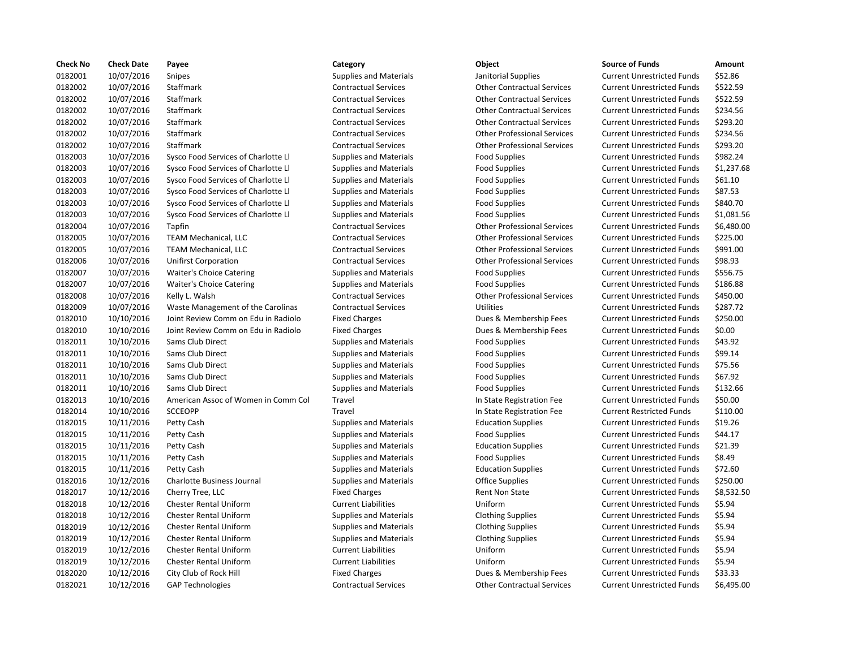| <b>Check No</b> | <b>Check Date</b> | Payee                               | Category                      | Object                             | <b>Source of Funds</b>            | Amount    |
|-----------------|-------------------|-------------------------------------|-------------------------------|------------------------------------|-----------------------------------|-----------|
| 0182001         | 10/07/2016        | Snipes                              | <b>Supplies and Materials</b> | Janitorial Supplies                | <b>Current Unrestricted Funds</b> | \$52.86   |
| 0182002         | 10/07/2016        | Staffmark                           | <b>Contractual Services</b>   | <b>Other Contractual Services</b>  | <b>Current Unrestricted Funds</b> | \$522.59  |
| 0182002         | 10/07/2016        | <b>Staffmark</b>                    | <b>Contractual Services</b>   | <b>Other Contractual Services</b>  | <b>Current Unrestricted Funds</b> | \$522.59  |
| 0182002         | 10/07/2016        | <b>Staffmark</b>                    | <b>Contractual Services</b>   | <b>Other Contractual Services</b>  | <b>Current Unrestricted Funds</b> | \$234.56  |
| 0182002         | 10/07/2016        | Staffmark                           | <b>Contractual Services</b>   | <b>Other Contractual Services</b>  | <b>Current Unrestricted Funds</b> | \$293.20  |
| 0182002         | 10/07/2016        | <b>Staffmark</b>                    | <b>Contractual Services</b>   | <b>Other Professional Services</b> | <b>Current Unrestricted Funds</b> | \$234.56  |
| 0182002         | 10/07/2016        | <b>Staffmark</b>                    | <b>Contractual Services</b>   | <b>Other Professional Services</b> | <b>Current Unrestricted Funds</b> | \$293.20  |
| 0182003         | 10/07/2016        | Sysco Food Services of Charlotte Ll | <b>Supplies and Materials</b> | <b>Food Supplies</b>               | <b>Current Unrestricted Funds</b> | \$982.24  |
| 0182003         | 10/07/2016        | Sysco Food Services of Charlotte Ll | <b>Supplies and Materials</b> | <b>Food Supplies</b>               | <b>Current Unrestricted Funds</b> | \$1,237.6 |
| 0182003         | 10/07/2016        | Sysco Food Services of Charlotte Ll | <b>Supplies and Materials</b> | <b>Food Supplies</b>               | <b>Current Unrestricted Funds</b> | \$61.10   |
| 0182003         | 10/07/2016        | Sysco Food Services of Charlotte Ll | <b>Supplies and Materials</b> | <b>Food Supplies</b>               | <b>Current Unrestricted Funds</b> | \$87.53   |
| 0182003         | 10/07/2016        | Sysco Food Services of Charlotte Ll | <b>Supplies and Materials</b> | <b>Food Supplies</b>               | <b>Current Unrestricted Funds</b> | \$840.70  |
| 0182003         | 10/07/2016        | Sysco Food Services of Charlotte Ll | <b>Supplies and Materials</b> | <b>Food Supplies</b>               | <b>Current Unrestricted Funds</b> | \$1,081.5 |
| 0182004         | 10/07/2016        | Tapfin                              | <b>Contractual Services</b>   | <b>Other Professional Services</b> | <b>Current Unrestricted Funds</b> | \$6,480.0 |
| 0182005         | 10/07/2016        | <b>TEAM Mechanical, LLC</b>         | <b>Contractual Services</b>   | <b>Other Professional Services</b> | <b>Current Unrestricted Funds</b> | \$225.00  |
| 0182005         | 10/07/2016        | <b>TEAM Mechanical, LLC</b>         | <b>Contractual Services</b>   | <b>Other Professional Services</b> | <b>Current Unrestricted Funds</b> | \$991.00  |
| 0182006         | 10/07/2016        | <b>Unifirst Corporation</b>         | <b>Contractual Services</b>   | <b>Other Professional Services</b> | <b>Current Unrestricted Funds</b> | \$98.93   |
| 0182007         | 10/07/2016        | <b>Waiter's Choice Catering</b>     | <b>Supplies and Materials</b> | <b>Food Supplies</b>               | <b>Current Unrestricted Funds</b> | \$556.75  |
| 0182007         | 10/07/2016        | <b>Waiter's Choice Catering</b>     | <b>Supplies and Materials</b> | <b>Food Supplies</b>               | <b>Current Unrestricted Funds</b> | \$186.88  |
| 0182008         | 10/07/2016        | Kelly L. Walsh                      | <b>Contractual Services</b>   | <b>Other Professional Services</b> | <b>Current Unrestricted Funds</b> | \$450.00  |
| 0182009         | 10/07/2016        | Waste Management of the Carolinas   | <b>Contractual Services</b>   | <b>Utilities</b>                   | <b>Current Unrestricted Funds</b> | \$287.72  |
| 0182010         | 10/10/2016        | Joint Review Comm on Edu in Radiolo | <b>Fixed Charges</b>          | Dues & Membership Fees             | <b>Current Unrestricted Funds</b> | \$250.00  |
| 0182010         | 10/10/2016        | Joint Review Comm on Edu in Radiolo | <b>Fixed Charges</b>          | Dues & Membership Fees             | <b>Current Unrestricted Funds</b> | \$0.00    |
| 0182011         | 10/10/2016        | Sams Club Direct                    | <b>Supplies and Materials</b> | <b>Food Supplies</b>               | <b>Current Unrestricted Funds</b> | \$43.92   |
| 0182011         | 10/10/2016        | Sams Club Direct                    | <b>Supplies and Materials</b> | <b>Food Supplies</b>               | <b>Current Unrestricted Funds</b> | \$99.14   |
| 0182011         | 10/10/2016        | Sams Club Direct                    | <b>Supplies and Materials</b> | <b>Food Supplies</b>               | <b>Current Unrestricted Funds</b> | \$75.56   |
| 0182011         | 10/10/2016        | Sams Club Direct                    | <b>Supplies and Materials</b> | <b>Food Supplies</b>               | <b>Current Unrestricted Funds</b> | \$67.92   |
| 0182011         | 10/10/2016        | <b>Sams Club Direct</b>             | <b>Supplies and Materials</b> | <b>Food Supplies</b>               | <b>Current Unrestricted Funds</b> | \$132.66  |
| 0182013         | 10/10/2016        | American Assoc of Women in Comm Col | Travel                        | In State Registration Fee          | <b>Current Unrestricted Funds</b> | \$50.00   |
| 0182014         | 10/10/2016        | <b>SCCEOPP</b>                      | Travel                        | In State Registration Fee          | <b>Current Restricted Funds</b>   | \$110.00  |
| 0182015         | 10/11/2016        | Petty Cash                          | <b>Supplies and Materials</b> | <b>Education Supplies</b>          | <b>Current Unrestricted Funds</b> | \$19.26   |
| 0182015         | 10/11/2016        | Petty Cash                          | <b>Supplies and Materials</b> | <b>Food Supplies</b>               | <b>Current Unrestricted Funds</b> | \$44.17   |
| 0182015         | 10/11/2016        | Petty Cash                          | <b>Supplies and Materials</b> | <b>Education Supplies</b>          | <b>Current Unrestricted Funds</b> | \$21.39   |
| 0182015         | 10/11/2016        | Petty Cash                          | <b>Supplies and Materials</b> | <b>Food Supplies</b>               | <b>Current Unrestricted Funds</b> | \$8.49    |
| 0182015         | 10/11/2016        | Petty Cash                          | <b>Supplies and Materials</b> | <b>Education Supplies</b>          | <b>Current Unrestricted Funds</b> | \$72.60   |
| 0182016         | 10/12/2016        | Charlotte Business Journal          | <b>Supplies and Materials</b> | <b>Office Supplies</b>             | <b>Current Unrestricted Funds</b> | \$250.00  |
| 0182017         | 10/12/2016        | Cherry Tree, LLC                    | <b>Fixed Charges</b>          | Rent Non State                     | <b>Current Unrestricted Funds</b> | \$8,532.5 |
| 0182018         | 10/12/2016        | <b>Chester Rental Uniform</b>       | <b>Current Liabilities</b>    | Uniform                            | <b>Current Unrestricted Funds</b> | \$5.94    |
| 0182018         | 10/12/2016        | <b>Chester Rental Uniform</b>       | <b>Supplies and Materials</b> | <b>Clothing Supplies</b>           | <b>Current Unrestricted Funds</b> | \$5.94    |
| 0182019         | 10/12/2016        | <b>Chester Rental Uniform</b>       | <b>Supplies and Materials</b> | <b>Clothing Supplies</b>           | <b>Current Unrestricted Funds</b> | \$5.94    |
| 0182019         | 10/12/2016        | <b>Chester Rental Uniform</b>       | <b>Supplies and Materials</b> | <b>Clothing Supplies</b>           | <b>Current Unrestricted Funds</b> | \$5.94    |
| 0182019         | 10/12/2016        | <b>Chester Rental Uniform</b>       | <b>Current Liabilities</b>    | Uniform                            | <b>Current Unrestricted Funds</b> | \$5.94    |
| 0182019         | 10/12/2016        | <b>Chester Rental Uniform</b>       | <b>Current Liabilities</b>    | Uniform                            | <b>Current Unrestricted Funds</b> | \$5.94    |
| 0182020         | 10/12/2016        | City Club of Rock Hill              | <b>Fixed Charges</b>          | Dues & Membership Fees             | <b>Current Unrestricted Funds</b> | \$33.33   |
| 0182021         | 10/12/2016        | <b>GAP Technologies</b>             | <b>Contractual Services</b>   | <b>Other Contractual Services</b>  | <b>Current Unrestricted Funds</b> | \$6,495.0 |
|                 |                   |                                     |                               |                                    |                                   |           |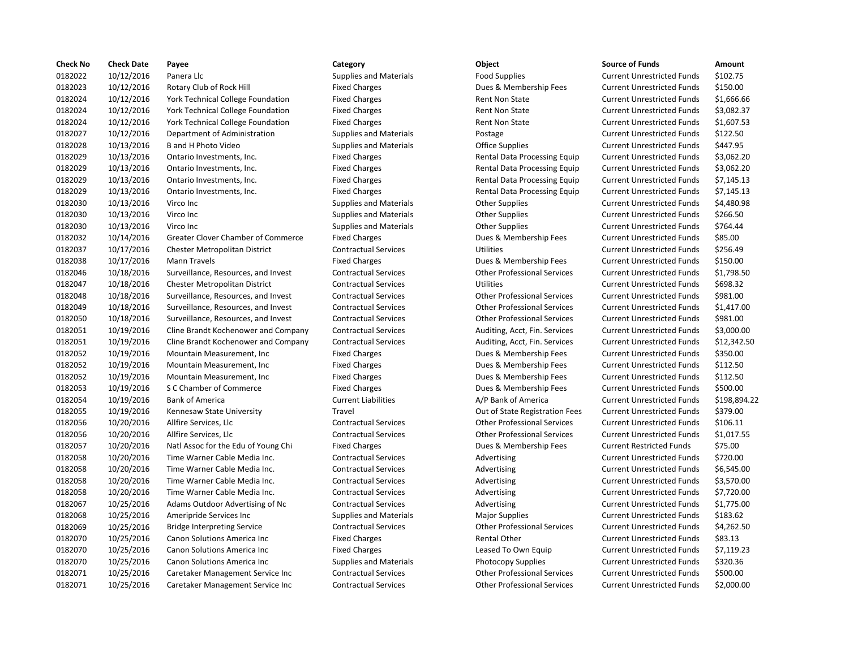| <b>Check No</b> | <b>Check Date</b>        | Payee                                     | Category                      | Object                             | <b>Source of Funds</b>            | Amount    |
|-----------------|--------------------------|-------------------------------------------|-------------------------------|------------------------------------|-----------------------------------|-----------|
| 0182022         | 10/12/2016               | Panera Llc                                | <b>Supplies and Materials</b> | <b>Food Supplies</b>               | <b>Current Unrestricted Funds</b> | \$102.75  |
| 0182023         | 10/12/2016               | Rotary Club of Rock Hill                  | <b>Fixed Charges</b>          | Dues & Membership Fees             | <b>Current Unrestricted Funds</b> | \$150.00  |
| 0182024         | 10/12/2016               | York Technical College Foundation         | <b>Fixed Charges</b>          | Rent Non State                     | <b>Current Unrestricted Funds</b> | \$1,666.6 |
| 0182024         | 10/12/2016               | York Technical College Foundation         | <b>Fixed Charges</b>          | <b>Rent Non State</b>              | <b>Current Unrestricted Funds</b> | \$3,082.3 |
| 0182024         | 10/12/2016               | York Technical College Foundation         | <b>Fixed Charges</b>          | <b>Rent Non State</b>              | <b>Current Unrestricted Funds</b> | \$1,607.5 |
| 0182027         | 10/12/2016               | Department of Administration              | <b>Supplies and Materials</b> | Postage                            | <b>Current Unrestricted Funds</b> | \$122.50  |
| 0182028         | 10/13/2016               | <b>B</b> and H Photo Video                | <b>Supplies and Materials</b> | <b>Office Supplies</b>             | <b>Current Unrestricted Funds</b> | \$447.95  |
| 0182029         | 10/13/2016               | Ontario Investments, Inc.                 | <b>Fixed Charges</b>          | Rental Data Processing Equip       | <b>Current Unrestricted Funds</b> | \$3,062.2 |
| 0182029         | 10/13/2016               | Ontario Investments, Inc.                 | <b>Fixed Charges</b>          | Rental Data Processing Equip       | <b>Current Unrestricted Funds</b> | \$3,062.2 |
| 0182029         | 10/13/2016               | Ontario Investments, Inc.                 | <b>Fixed Charges</b>          | Rental Data Processing Equip       | <b>Current Unrestricted Funds</b> | \$7,145.1 |
| 0182029         | 10/13/2016               | Ontario Investments, Inc.                 | <b>Fixed Charges</b>          | Rental Data Processing Equip       | <b>Current Unrestricted Funds</b> | \$7,145.1 |
| 0182030         | 10/13/2016               | Virco Inc                                 | <b>Supplies and Materials</b> | <b>Other Supplies</b>              | <b>Current Unrestricted Funds</b> | \$4,480.9 |
| 0182030         | 10/13/2016               | Virco Inc                                 | <b>Supplies and Materials</b> | <b>Other Supplies</b>              | <b>Current Unrestricted Funds</b> | \$266.50  |
| 0182030         | 10/13/2016               | Virco Inc                                 | <b>Supplies and Materials</b> | <b>Other Supplies</b>              | <b>Current Unrestricted Funds</b> | \$764.44  |
| 0182032         | 10/14/2016               | <b>Greater Clover Chamber of Commerce</b> | <b>Fixed Charges</b>          | Dues & Membership Fees             | <b>Current Unrestricted Funds</b> | \$85.00   |
| 0182037         | 10/17/2016               | Chester Metropolitan District             | <b>Contractual Services</b>   | <b>Utilities</b>                   | <b>Current Unrestricted Funds</b> | \$256.49  |
| 0182038         | 10/17/2016               | <b>Mann Travels</b>                       | <b>Fixed Charges</b>          | Dues & Membership Fees             | <b>Current Unrestricted Funds</b> | \$150.00  |
| 0182046         | 10/18/2016               | Surveillance, Resources, and Invest       | <b>Contractual Services</b>   | <b>Other Professional Services</b> | <b>Current Unrestricted Funds</b> | \$1,798.5 |
| 0182047         | 10/18/2016               | Chester Metropolitan District             | <b>Contractual Services</b>   | Utilities                          | <b>Current Unrestricted Funds</b> | \$698.32  |
| 0182048         | 10/18/2016               | Surveillance, Resources, and Invest       | <b>Contractual Services</b>   | <b>Other Professional Services</b> | <b>Current Unrestricted Funds</b> | \$981.00  |
| 0182049         | 10/18/2016               | Surveillance, Resources, and Invest       | <b>Contractual Services</b>   | <b>Other Professional Services</b> | <b>Current Unrestricted Funds</b> | \$1,417.  |
| 0182050         | 10/18/2016               | Surveillance, Resources, and Invest       | <b>Contractual Services</b>   | <b>Other Professional Services</b> | <b>Current Unrestricted Funds</b> | \$981.00  |
| 0182051         | 10/19/2016               | Cline Brandt Kochenower and Company       | <b>Contractual Services</b>   | Auditing, Acct, Fin. Services      | <b>Current Unrestricted Funds</b> | \$3,000.0 |
| 0182051         | 10/19/2016               | Cline Brandt Kochenower and Company       | <b>Contractual Services</b>   | Auditing, Acct, Fin. Services      | <b>Current Unrestricted Funds</b> | \$12,342  |
| 0182052         | 10/19/2016               | Mountain Measurement, Inc.                | <b>Fixed Charges</b>          | Dues & Membership Fees             | <b>Current Unrestricted Funds</b> | \$350.00  |
| 0182052         | 10/19/2016               | Mountain Measurement, Inc.                | <b>Fixed Charges</b>          | Dues & Membership Fees             | <b>Current Unrestricted Funds</b> | \$112.50  |
| 0182052         | 10/19/2016               | Mountain Measurement, Inc.                | <b>Fixed Charges</b>          | Dues & Membership Fees             | <b>Current Unrestricted Funds</b> | \$112.50  |
| 0182053         | 10/19/2016               | S C Chamber of Commerce                   | <b>Fixed Charges</b>          | Dues & Membership Fees             | <b>Current Unrestricted Funds</b> | \$500.00  |
| 0182054         | 10/19/2016               | <b>Bank of America</b>                    | <b>Current Liabilities</b>    | A/P Bank of America                | <b>Current Unrestricted Funds</b> | \$198,89  |
| 0182055         | 10/19/2016               | Kennesaw State University                 | Travel                        | Out of State Registration Fees     | <b>Current Unrestricted Funds</b> | \$379.00  |
| 0182056         | 10/20/2016               | Allfire Services, Llc                     | <b>Contractual Services</b>   | <b>Other Professional Services</b> | <b>Current Unrestricted Funds</b> | \$106.11  |
| 0182056         | 10/20/2016               | Allfire Services, Llc                     | <b>Contractual Services</b>   | <b>Other Professional Services</b> | <b>Current Unrestricted Funds</b> | \$1,017.5 |
| 0182057         | 10/20/2016               | Natl Assoc for the Edu of Young Chi       | <b>Fixed Charges</b>          | Dues & Membership Fees             | <b>Current Restricted Funds</b>   | \$75.00   |
| 0182058         | 10/20/2016               | Time Warner Cable Media Inc.              | <b>Contractual Services</b>   | Advertising                        | <b>Current Unrestricted Funds</b> | \$720.00  |
| 0182058         | 10/20/2016               | Time Warner Cable Media Inc.              | <b>Contractual Services</b>   | Advertising                        | <b>Current Unrestricted Funds</b> | \$6,545.0 |
| 0182058         | 10/20/2016               | Time Warner Cable Media Inc.              | <b>Contractual Services</b>   | Advertising                        | <b>Current Unrestricted Funds</b> | \$3,570.0 |
| 0182058         |                          | Time Warner Cable Media Inc.              | <b>Contractual Services</b>   | Advertising                        | <b>Current Unrestricted Funds</b> | \$7,720.0 |
| 0182067         | 10/20/2016<br>10/25/2016 | Adams Outdoor Advertising of Nc           | <b>Contractual Services</b>   |                                    | <b>Current Unrestricted Funds</b> | \$1,775.0 |
|                 |                          |                                           |                               | Advertising                        |                                   | \$183.62  |
| 0182068         | 10/25/2016               | Ameripride Services Inc                   | <b>Supplies and Materials</b> | <b>Major Supplies</b>              | <b>Current Unrestricted Funds</b> | \$4,262.5 |
| 0182069         | 10/25/2016               | <b>Bridge Interpreting Service</b>        | <b>Contractual Services</b>   | <b>Other Professional Services</b> | <b>Current Unrestricted Funds</b> |           |
| 0182070         | 10/25/2016               | Canon Solutions America Inc               | <b>Fixed Charges</b>          | <b>Rental Other</b>                | <b>Current Unrestricted Funds</b> | \$83.13   |
| 0182070         | 10/25/2016               | <b>Canon Solutions America Inc.</b>       | <b>Fixed Charges</b>          | Leased To Own Equip                | <b>Current Unrestricted Funds</b> | \$7,119.2 |
| 0182070         | 10/25/2016               | Canon Solutions America Inc               | <b>Supplies and Materials</b> | <b>Photocopy Supplies</b>          | <b>Current Unrestricted Funds</b> | \$320.36  |
| 0182071         | 10/25/2016               | Caretaker Management Service Inc          | <b>Contractual Services</b>   | <b>Other Professional Services</b> | <b>Current Unrestricted Funds</b> | \$500.00  |
| 0182071         | 10/25/2016               | Caretaker Management Service Inc          | <b>Contractual Services</b>   | <b>Other Professional Services</b> | <b>Current Unrestricted Funds</b> | \$2,000.0 |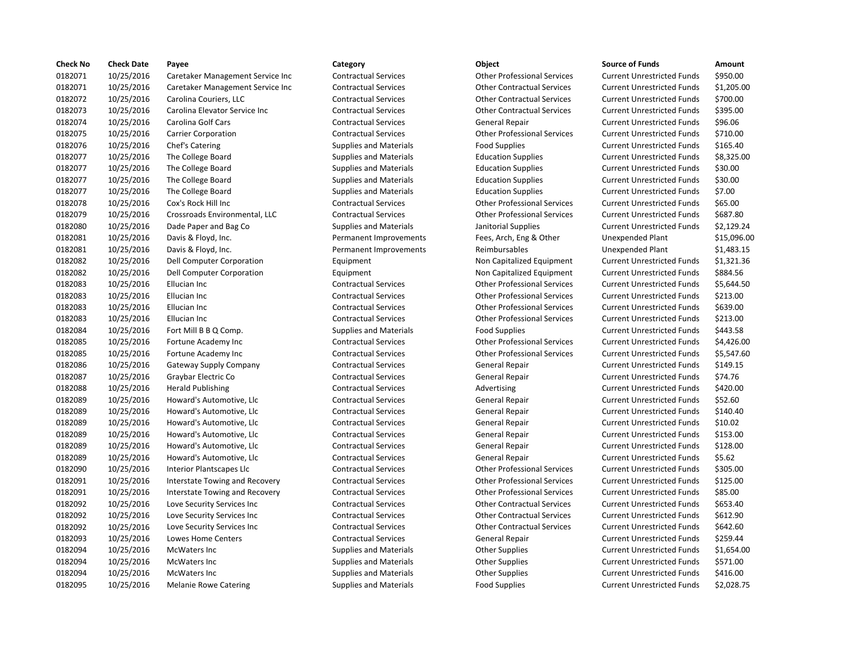| <b>Check No</b> | <b>Check Date</b> | Payee                            | Category                      | Object                             | <b>Source of Funds</b>            | Amount    |
|-----------------|-------------------|----------------------------------|-------------------------------|------------------------------------|-----------------------------------|-----------|
| 0182071         | 10/25/2016        | Caretaker Management Service Inc | <b>Contractual Services</b>   | <b>Other Professional Services</b> | <b>Current Unrestricted Funds</b> | \$950.00  |
| 0182071         | 10/25/2016        | Caretaker Management Service Inc | <b>Contractual Services</b>   | <b>Other Contractual Services</b>  | <b>Current Unrestricted Funds</b> | \$1,205.0 |
| 0182072         | 10/25/2016        | Carolina Couriers, LLC           | <b>Contractual Services</b>   | <b>Other Contractual Services</b>  | <b>Current Unrestricted Funds</b> | \$700.00  |
| 0182073         | 10/25/2016        | Carolina Elevator Service Inc    | <b>Contractual Services</b>   | <b>Other Contractual Services</b>  | <b>Current Unrestricted Funds</b> | \$395.00  |
| 0182074         | 10/25/2016        | <b>Carolina Golf Cars</b>        | <b>Contractual Services</b>   | General Repair                     | <b>Current Unrestricted Funds</b> | \$96.06   |
| 0182075         | 10/25/2016        | <b>Carrier Corporation</b>       | <b>Contractual Services</b>   | <b>Other Professional Services</b> | <b>Current Unrestricted Funds</b> | \$710.00  |
| 0182076         | 10/25/2016        | Chef's Catering                  | <b>Supplies and Materials</b> | <b>Food Supplies</b>               | <b>Current Unrestricted Funds</b> | \$165.40  |
| 0182077         | 10/25/2016        | The College Board                | <b>Supplies and Materials</b> | <b>Education Supplies</b>          | <b>Current Unrestricted Funds</b> | \$8,325.0 |
| 0182077         | 10/25/2016        | The College Board                | <b>Supplies and Materials</b> | <b>Education Supplies</b>          | <b>Current Unrestricted Funds</b> | \$30.00   |
| 0182077         | 10/25/2016        | The College Board                | <b>Supplies and Materials</b> | <b>Education Supplies</b>          | <b>Current Unrestricted Funds</b> | \$30.00   |
| 0182077         | 10/25/2016        | The College Board                | <b>Supplies and Materials</b> | <b>Education Supplies</b>          | <b>Current Unrestricted Funds</b> | \$7.00    |
| 0182078         | 10/25/2016        | Cox's Rock Hill Inc              | <b>Contractual Services</b>   | <b>Other Professional Services</b> | <b>Current Unrestricted Funds</b> | \$65.00   |
| 0182079         | 10/25/2016        | Crossroads Environmental, LLC    | <b>Contractual Services</b>   | <b>Other Professional Services</b> | <b>Current Unrestricted Funds</b> | \$687.80  |
| 0182080         | 10/25/2016        | Dade Paper and Bag Co            | <b>Supplies and Materials</b> | Janitorial Supplies                | <b>Current Unrestricted Funds</b> | \$2,129.2 |
| 0182081         | 10/25/2016        | Davis & Floyd, Inc.              | Permanent Improvements        | Fees, Arch, Eng & Other            | <b>Unexpended Plant</b>           | \$15,096  |
| 0182081         | 10/25/2016        | Davis & Floyd, Inc.              | Permanent Improvements        | Reimbursables                      | <b>Unexpended Plant</b>           | \$1,483.1 |
| 0182082         | 10/25/2016        | Dell Computer Corporation        | Equipment                     | Non Capitalized Equipment          | <b>Current Unrestricted Funds</b> | \$1,321.3 |
| 0182082         | 10/25/2016        | Dell Computer Corporation        | Equipment                     | Non Capitalized Equipment          | <b>Current Unrestricted Funds</b> | \$884.56  |
| 0182083         | 10/25/2016        | Ellucian Inc                     | <b>Contractual Services</b>   | <b>Other Professional Services</b> | <b>Current Unrestricted Funds</b> | \$5,644.5 |
| 0182083         | 10/25/2016        | Ellucian Inc                     | <b>Contractual Services</b>   | <b>Other Professional Services</b> | <b>Current Unrestricted Funds</b> | \$213.00  |
| 0182083         | 10/25/2016        | Ellucian Inc                     | <b>Contractual Services</b>   | <b>Other Professional Services</b> | <b>Current Unrestricted Funds</b> | \$639.00  |
| 0182083         | 10/25/2016        | Ellucian Inc                     | <b>Contractual Services</b>   | <b>Other Professional Services</b> | <b>Current Unrestricted Funds</b> | \$213.00  |
| 0182084         | 10/25/2016        | Fort Mill B B Q Comp.            | <b>Supplies and Materials</b> | <b>Food Supplies</b>               | <b>Current Unrestricted Funds</b> | \$443.58  |
| 0182085         | 10/25/2016        | Fortune Academy Inc              | <b>Contractual Services</b>   | <b>Other Professional Services</b> | <b>Current Unrestricted Funds</b> | \$4,426.0 |
| 0182085         | 10/25/2016        | Fortune Academy Inc              | <b>Contractual Services</b>   | <b>Other Professional Services</b> | <b>Current Unrestricted Funds</b> | \$5,547.6 |
| 0182086         | 10/25/2016        | Gateway Supply Company           | <b>Contractual Services</b>   | General Repair                     | <b>Current Unrestricted Funds</b> | \$149.15  |
| 0182087         | 10/25/2016        | Graybar Electric Co              | <b>Contractual Services</b>   | General Repair                     | <b>Current Unrestricted Funds</b> | \$74.76   |
| 0182088         | 10/25/2016        | <b>Herald Publishing</b>         | <b>Contractual Services</b>   | Advertising                        | <b>Current Unrestricted Funds</b> | \$420.00  |
| 0182089         | 10/25/2016        | Howard's Automotive, Llc         | <b>Contractual Services</b>   | General Repair                     | <b>Current Unrestricted Funds</b> | \$52.60   |
| 0182089         | 10/25/2016        | Howard's Automotive, Llc         | <b>Contractual Services</b>   | General Repair                     | <b>Current Unrestricted Funds</b> | \$140.40  |
| 0182089         | 10/25/2016        | Howard's Automotive, Llc         | <b>Contractual Services</b>   | General Repair                     | <b>Current Unrestricted Funds</b> | \$10.02   |
| 0182089         | 10/25/2016        | Howard's Automotive, Llc         | <b>Contractual Services</b>   | General Repair                     | <b>Current Unrestricted Funds</b> | \$153.00  |
| 0182089         | 10/25/2016        | Howard's Automotive, Llc         | <b>Contractual Services</b>   | General Repair                     | <b>Current Unrestricted Funds</b> | \$128.00  |
| 0182089         | 10/25/2016        | Howard's Automotive, Llc         | <b>Contractual Services</b>   | <b>General Repair</b>              | <b>Current Unrestricted Funds</b> | \$5.62    |
| 0182090         | 10/25/2016        | Interior Plantscapes Llc         | <b>Contractual Services</b>   | <b>Other Professional Services</b> | <b>Current Unrestricted Funds</b> | \$305.00  |
| 0182091         | 10/25/2016        | Interstate Towing and Recovery   | <b>Contractual Services</b>   | <b>Other Professional Services</b> | <b>Current Unrestricted Funds</b> | \$125.00  |
| 0182091         | 10/25/2016        | Interstate Towing and Recovery   | <b>Contractual Services</b>   | <b>Other Professional Services</b> | <b>Current Unrestricted Funds</b> | \$85.00   |
| 0182092         | 10/25/2016        | Love Security Services Inc       | <b>Contractual Services</b>   | <b>Other Contractual Services</b>  | <b>Current Unrestricted Funds</b> | \$653.40  |
| 0182092         | 10/25/2016        | Love Security Services Inc       | <b>Contractual Services</b>   | <b>Other Contractual Services</b>  | <b>Current Unrestricted Funds</b> | \$612.90  |
| 0182092         | 10/25/2016        | Love Security Services Inc       | <b>Contractual Services</b>   | <b>Other Contractual Services</b>  | <b>Current Unrestricted Funds</b> | \$642.60  |
| 0182093         | 10/25/2016        | Lowes Home Centers               | <b>Contractual Services</b>   | General Repair                     | <b>Current Unrestricted Funds</b> | \$259.44  |
| 0182094         | 10/25/2016        | <b>McWaters Inc</b>              | <b>Supplies and Materials</b> | <b>Other Supplies</b>              | <b>Current Unrestricted Funds</b> | \$1,654.0 |
| 0182094         | 10/25/2016        | McWaters Inc                     | <b>Supplies and Materials</b> | <b>Other Supplies</b>              | <b>Current Unrestricted Funds</b> | \$571.00  |
| 0182094         | 10/25/2016        | McWaters Inc                     | <b>Supplies and Materials</b> | <b>Other Supplies</b>              | <b>Current Unrestricted Funds</b> | \$416.00  |
| 0182095         | 10/25/2016        | <b>Melanie Rowe Catering</b>     | <b>Supplies and Materials</b> | <b>Food Supplies</b>               | <b>Current Unrestricted Funds</b> | \$2,028.7 |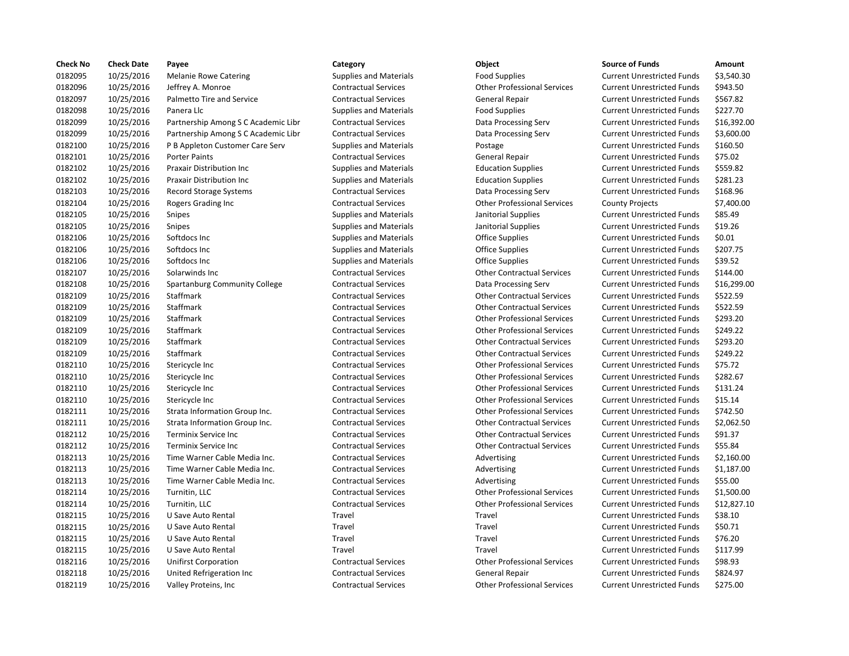| <b>Check No</b> | <b>Check Date</b> | Payee                               | Category                      | Object                             | <b>Source of Funds</b>            | Amount    |
|-----------------|-------------------|-------------------------------------|-------------------------------|------------------------------------|-----------------------------------|-----------|
| 0182095         | 10/25/2016        | <b>Melanie Rowe Catering</b>        | <b>Supplies and Materials</b> | <b>Food Supplies</b>               | <b>Current Unrestricted Funds</b> | \$3,540.3 |
| 0182096         | 10/25/2016        | Jeffrey A. Monroe                   | <b>Contractual Services</b>   | <b>Other Professional Services</b> | <b>Current Unrestricted Funds</b> | \$943.50  |
| 0182097         | 10/25/2016        | Palmetto Tire and Service           | <b>Contractual Services</b>   | <b>General Repair</b>              | <b>Current Unrestricted Funds</b> | \$567.82  |
| 0182098         | 10/25/2016        | Panera Llc                          | <b>Supplies and Materials</b> | <b>Food Supplies</b>               | <b>Current Unrestricted Funds</b> | \$227.70  |
| 0182099         | 10/25/2016        | Partnership Among S C Academic Libr | <b>Contractual Services</b>   | Data Processing Serv               | <b>Current Unrestricted Funds</b> | \$16,392  |
| 0182099         | 10/25/2016        | Partnership Among S C Academic Libr | <b>Contractual Services</b>   | Data Processing Serv               | <b>Current Unrestricted Funds</b> | \$3,600.0 |
| 0182100         | 10/25/2016        | P B Appleton Customer Care Serv     | <b>Supplies and Materials</b> | Postage                            | <b>Current Unrestricted Funds</b> | \$160.50  |
| 0182101         | 10/25/2016        | <b>Porter Paints</b>                | <b>Contractual Services</b>   | <b>General Repair</b>              | <b>Current Unrestricted Funds</b> | \$75.02   |
| 0182102         | 10/25/2016        | Praxair Distribution Inc            | <b>Supplies and Materials</b> | <b>Education Supplies</b>          | <b>Current Unrestricted Funds</b> | \$559.82  |
| 0182102         | 10/25/2016        | Praxair Distribution Inc            | <b>Supplies and Materials</b> | <b>Education Supplies</b>          | <b>Current Unrestricted Funds</b> | \$281.23  |
| 0182103         | 10/25/2016        | Record Storage Systems              | <b>Contractual Services</b>   | Data Processing Serv               | <b>Current Unrestricted Funds</b> | \$168.96  |
| 0182104         | 10/25/2016        | Rogers Grading Inc                  | <b>Contractual Services</b>   | <b>Other Professional Services</b> | <b>County Projects</b>            | \$7,400.0 |
| 0182105         | 10/25/2016        | <b>Snipes</b>                       | <b>Supplies and Materials</b> | Janitorial Supplies                | <b>Current Unrestricted Funds</b> | \$85.49   |
| 0182105         | 10/25/2016        | <b>Snipes</b>                       | <b>Supplies and Materials</b> | Janitorial Supplies                | <b>Current Unrestricted Funds</b> | \$19.26   |
| 0182106         | 10/25/2016        | Softdocs Inc                        | <b>Supplies and Materials</b> | <b>Office Supplies</b>             | <b>Current Unrestricted Funds</b> | \$0.01    |
| 0182106         | 10/25/2016        | Softdocs Inc                        | <b>Supplies and Materials</b> | <b>Office Supplies</b>             | <b>Current Unrestricted Funds</b> | \$207.75  |
| 0182106         | 10/25/2016        | Softdocs Inc                        | <b>Supplies and Materials</b> | <b>Office Supplies</b>             | <b>Current Unrestricted Funds</b> | \$39.52   |
| 0182107         | 10/25/2016        | Solarwinds Inc                      | <b>Contractual Services</b>   | <b>Other Contractual Services</b>  | <b>Current Unrestricted Funds</b> | \$144.00  |
| 0182108         | 10/25/2016        | Spartanburg Community College       | <b>Contractual Services</b>   | Data Processing Serv               | <b>Current Unrestricted Funds</b> | \$16,299  |
| 0182109         | 10/25/2016        | Staffmark                           | <b>Contractual Services</b>   | <b>Other Contractual Services</b>  | <b>Current Unrestricted Funds</b> | \$522.59  |
| 0182109         | 10/25/2016        | Staffmark                           | <b>Contractual Services</b>   | <b>Other Contractual Services</b>  | <b>Current Unrestricted Funds</b> | \$522.59  |
| 0182109         | 10/25/2016        | Staffmark                           | <b>Contractual Services</b>   | <b>Other Professional Services</b> | <b>Current Unrestricted Funds</b> | \$293.20  |
| 0182109         | 10/25/2016        | Staffmark                           | <b>Contractual Services</b>   | <b>Other Professional Services</b> | <b>Current Unrestricted Funds</b> | \$249.22  |
| 0182109         | 10/25/2016        | Staffmark                           | <b>Contractual Services</b>   | <b>Other Contractual Services</b>  | <b>Current Unrestricted Funds</b> | \$293.20  |
| 0182109         | 10/25/2016        | Staffmark                           | <b>Contractual Services</b>   | <b>Other Contractual Services</b>  | <b>Current Unrestricted Funds</b> | \$249.22  |
| 0182110         | 10/25/2016        | Stericycle Inc                      | <b>Contractual Services</b>   | <b>Other Professional Services</b> | <b>Current Unrestricted Funds</b> | \$75.72   |
| 0182110         | 10/25/2016        | Stericycle Inc                      | <b>Contractual Services</b>   | <b>Other Professional Services</b> | <b>Current Unrestricted Funds</b> | \$282.67  |
| 0182110         | 10/25/2016        | Stericycle Inc                      | <b>Contractual Services</b>   | <b>Other Professional Services</b> | <b>Current Unrestricted Funds</b> | \$131.24  |
| 0182110         | 10/25/2016        | Stericycle Inc                      | <b>Contractual Services</b>   | <b>Other Professional Services</b> | <b>Current Unrestricted Funds</b> | \$15.14   |
| 0182111         | 10/25/2016        | Strata Information Group Inc.       | <b>Contractual Services</b>   | <b>Other Professional Services</b> | <b>Current Unrestricted Funds</b> | \$742.50  |
| 0182111         | 10/25/2016        | Strata Information Group Inc.       | <b>Contractual Services</b>   | <b>Other Contractual Services</b>  | <b>Current Unrestricted Funds</b> | \$2,062.5 |
| 0182112         | 10/25/2016        | <b>Terminix Service Inc</b>         | <b>Contractual Services</b>   | <b>Other Contractual Services</b>  | <b>Current Unrestricted Funds</b> | \$91.37   |
| 0182112         | 10/25/2016        | Terminix Service Inc                | <b>Contractual Services</b>   | <b>Other Contractual Services</b>  | <b>Current Unrestricted Funds</b> | \$55.84   |
| 0182113         | 10/25/2016        | Time Warner Cable Media Inc.        | <b>Contractual Services</b>   | Advertising                        | <b>Current Unrestricted Funds</b> | \$2,160.0 |
| 0182113         | 10/25/2016        | Time Warner Cable Media Inc.        | <b>Contractual Services</b>   | Advertising                        | <b>Current Unrestricted Funds</b> | \$1,187   |
| 0182113         | 10/25/2016        | Time Warner Cable Media Inc.        | <b>Contractual Services</b>   | Advertising                        | <b>Current Unrestricted Funds</b> | \$55.00   |
| 0182114         | 10/25/2016        | Turnitin, LLC                       | <b>Contractual Services</b>   | <b>Other Professional Services</b> | <b>Current Unrestricted Funds</b> | \$1,500.0 |
| 0182114         | 10/25/2016        | Turnitin, LLC                       | <b>Contractual Services</b>   | <b>Other Professional Services</b> | <b>Current Unrestricted Funds</b> | \$12,827  |
| 0182115         | 10/25/2016        | U Save Auto Rental                  | Travel                        | Travel                             | <b>Current Unrestricted Funds</b> | \$38.10   |
| 0182115         | 10/25/2016        | U Save Auto Rental                  | Travel                        | Travel                             | <b>Current Unrestricted Funds</b> | \$50.71   |
| 0182115         | 10/25/2016        | U Save Auto Rental                  | Travel                        | Travel                             | <b>Current Unrestricted Funds</b> | \$76.20   |
| 0182115         | 10/25/2016        | U Save Auto Rental                  | Travel                        | Travel                             | <b>Current Unrestricted Funds</b> | \$117.99  |
| 0182116         | 10/25/2016        | <b>Unifirst Corporation</b>         | <b>Contractual Services</b>   | <b>Other Professional Services</b> | <b>Current Unrestricted Funds</b> | \$98.93   |
| 0182118         | 10/25/2016        | United Refrigeration Inc            | <b>Contractual Services</b>   | General Repair                     | <b>Current Unrestricted Funds</b> | \$824.97  |
| 0182119         | 10/25/2016        | Valley Proteins, Inc.               | <b>Contractual Services</b>   | <b>Other Professional Services</b> | <b>Current Unrestricted Funds</b> | \$275.00  |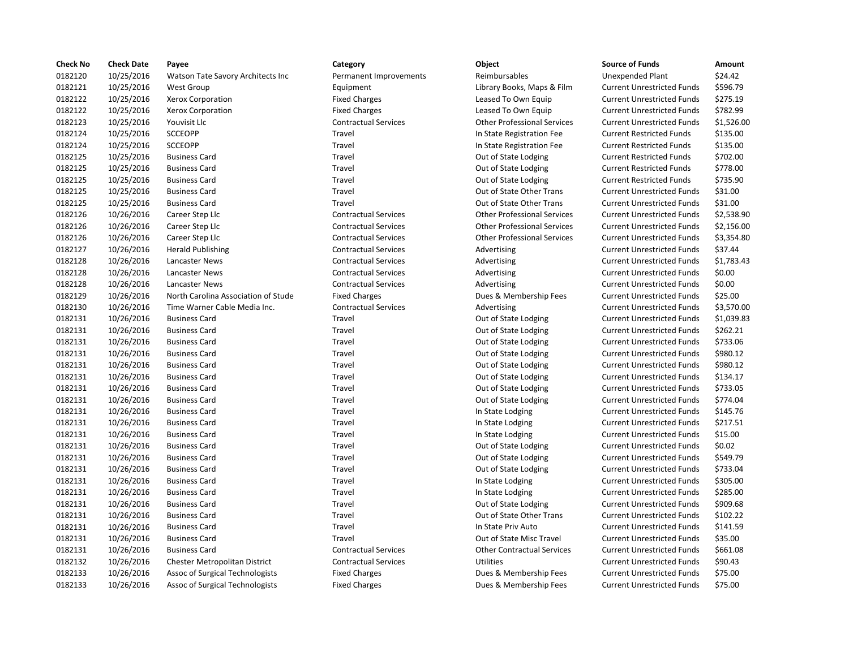| <b>Check No</b> | <b>Check Date</b> | Payee                               | Category                    | Object                             | <b>Source of Funds</b>            | Amount    |
|-----------------|-------------------|-------------------------------------|-----------------------------|------------------------------------|-----------------------------------|-----------|
| 0182120         | 10/25/2016        | Watson Tate Savory Architects Inc   | Permanent Improvements      | Reimbursables                      | <b>Unexpended Plant</b>           | \$24.42   |
| 0182121         | 10/25/2016        | <b>West Group</b>                   | Equipment                   | Library Books, Maps & Film         | <b>Current Unrestricted Funds</b> | \$596.79  |
| 0182122         | 10/25/2016        | Xerox Corporation                   | <b>Fixed Charges</b>        | Leased To Own Equip                | <b>Current Unrestricted Funds</b> | \$275.19  |
| 0182122         | 10/25/2016        | Xerox Corporation                   | <b>Fixed Charges</b>        | Leased To Own Equip                | <b>Current Unrestricted Funds</b> | \$782.99  |
| 0182123         | 10/25/2016        | Youvisit Llc                        | <b>Contractual Services</b> | <b>Other Professional Services</b> | <b>Current Unrestricted Funds</b> | \$1,526.0 |
| 0182124         | 10/25/2016        | SCCEOPP                             | Travel                      | In State Registration Fee          | <b>Current Restricted Funds</b>   | \$135.00  |
| 0182124         | 10/25/2016        | <b>SCCEOPP</b>                      | Travel                      | In State Registration Fee          | <b>Current Restricted Funds</b>   | \$135.00  |
| 0182125         | 10/25/2016        | <b>Business Card</b>                | Travel                      | Out of State Lodging               | <b>Current Restricted Funds</b>   | \$702.00  |
| 0182125         | 10/25/2016        | <b>Business Card</b>                | Travel                      | Out of State Lodging               | <b>Current Restricted Funds</b>   | \$778.00  |
| 0182125         | 10/25/2016        | <b>Business Card</b>                | Travel                      | Out of State Lodging               | <b>Current Restricted Funds</b>   | \$735.90  |
| 0182125         | 10/25/2016        | <b>Business Card</b>                | Travel                      | Out of State Other Trans           | <b>Current Unrestricted Funds</b> | \$31.00   |
| 0182125         | 10/25/2016        | <b>Business Card</b>                | Travel                      | Out of State Other Trans           | <b>Current Unrestricted Funds</b> | \$31.00   |
| 0182126         | 10/26/2016        | Career Step Llc                     | <b>Contractual Services</b> | <b>Other Professional Services</b> | <b>Current Unrestricted Funds</b> | \$2,538.9 |
| 0182126         | 10/26/2016        | Career Step Llc                     | <b>Contractual Services</b> | <b>Other Professional Services</b> | <b>Current Unrestricted Funds</b> | \$2,156.0 |
| 0182126         | 10/26/2016        | Career Step Llc                     | <b>Contractual Services</b> | <b>Other Professional Services</b> | <b>Current Unrestricted Funds</b> | \$3,354.8 |
| 0182127         | 10/26/2016        | <b>Herald Publishing</b>            | <b>Contractual Services</b> | Advertising                        | <b>Current Unrestricted Funds</b> | \$37.44   |
| 0182128         | 10/26/2016        | Lancaster News                      | <b>Contractual Services</b> | Advertising                        | <b>Current Unrestricted Funds</b> | \$1,783.4 |
| 0182128         | 10/26/2016        | Lancaster News                      | <b>Contractual Services</b> | Advertising                        | <b>Current Unrestricted Funds</b> | \$0.00    |
| 0182128         | 10/26/2016        | Lancaster News                      | <b>Contractual Services</b> | Advertising                        | <b>Current Unrestricted Funds</b> | \$0.00    |
| 0182129         | 10/26/2016        | North Carolina Association of Stude | <b>Fixed Charges</b>        | Dues & Membership Fees             | <b>Current Unrestricted Funds</b> | \$25.00   |
| 0182130         | 10/26/2016        | Time Warner Cable Media Inc.        | <b>Contractual Services</b> | Advertising                        | <b>Current Unrestricted Funds</b> | \$3,570.0 |
| 0182131         | 10/26/2016        | <b>Business Card</b>                | Travel                      | Out of State Lodging               | <b>Current Unrestricted Funds</b> | \$1,039.8 |
| 0182131         | 10/26/2016        | <b>Business Card</b>                | Travel                      | Out of State Lodging               | <b>Current Unrestricted Funds</b> | \$262.21  |
| 0182131         | 10/26/2016        | <b>Business Card</b>                | Travel                      | Out of State Lodging               | <b>Current Unrestricted Funds</b> | \$733.06  |
| 0182131         | 10/26/2016        | <b>Business Card</b>                | Travel                      | Out of State Lodging               | <b>Current Unrestricted Funds</b> | \$980.12  |
| 0182131         | 10/26/2016        | <b>Business Card</b>                | Travel                      | Out of State Lodging               | <b>Current Unrestricted Funds</b> | \$980.12  |
| 0182131         | 10/26/2016        | <b>Business Card</b>                | Travel                      | Out of State Lodging               | <b>Current Unrestricted Funds</b> | \$134.17  |
| 0182131         | 10/26/2016        | <b>Business Card</b>                | Travel                      | Out of State Lodging               | <b>Current Unrestricted Funds</b> | \$733.05  |
| 0182131         | 10/26/2016        | <b>Business Card</b>                | Travel                      | Out of State Lodging               | <b>Current Unrestricted Funds</b> | \$774.04  |
| 0182131         | 10/26/2016        | <b>Business Card</b>                | Travel                      | In State Lodging                   | <b>Current Unrestricted Funds</b> | \$145.76  |
| 0182131         | 10/26/2016        | <b>Business Card</b>                | Travel                      | In State Lodging                   | <b>Current Unrestricted Funds</b> | \$217.51  |
| 0182131         | 10/26/2016        | <b>Business Card</b>                | Travel                      | In State Lodging                   | <b>Current Unrestricted Funds</b> | \$15.00   |
| 0182131         | 10/26/2016        | <b>Business Card</b>                | Travel                      | Out of State Lodging               | <b>Current Unrestricted Funds</b> | \$0.02    |
| 0182131         | 10/26/2016        | <b>Business Card</b>                | Travel                      | Out of State Lodging               | <b>Current Unrestricted Funds</b> | \$549.79  |
| 0182131         | 10/26/2016        | <b>Business Card</b>                | Travel                      | Out of State Lodging               | <b>Current Unrestricted Funds</b> | \$733.04  |
| 0182131         | 10/26/2016        | <b>Business Card</b>                | Travel                      | In State Lodging                   | <b>Current Unrestricted Funds</b> | \$305.00  |
| 0182131         | 10/26/2016        | <b>Business Card</b>                | Travel                      | In State Lodging                   | <b>Current Unrestricted Funds</b> | \$285.00  |
| 0182131         | 10/26/2016        | <b>Business Card</b>                | Travel                      | Out of State Lodging               | <b>Current Unrestricted Funds</b> | \$909.68  |
| 0182131         | 10/26/2016        | <b>Business Card</b>                | Travel                      | Out of State Other Trans           | <b>Current Unrestricted Funds</b> | \$102.22  |
| 0182131         | 10/26/2016        | <b>Business Card</b>                | Travel                      | In State Priv Auto                 | <b>Current Unrestricted Funds</b> | \$141.59  |
| 0182131         | 10/26/2016        | <b>Business Card</b>                | Travel                      | Out of State Misc Travel           | <b>Current Unrestricted Funds</b> | \$35.00   |
| 0182131         | 10/26/2016        | <b>Business Card</b>                | <b>Contractual Services</b> | <b>Other Contractual Services</b>  | <b>Current Unrestricted Funds</b> | \$661.08  |
| 0182132         | 10/26/2016        | Chester Metropolitan District       | <b>Contractual Services</b> | <b>Utilities</b>                   | <b>Current Unrestricted Funds</b> | \$90.43   |
| 0182133         | 10/26/2016        | Assoc of Surgical Technologists     | <b>Fixed Charges</b>        | Dues & Membership Fees             | <b>Current Unrestricted Funds</b> | \$75.00   |
| 0182133         | 10/26/2016        | Assoc of Surgical Technologists     | <b>Fixed Charges</b>        | Dues & Membership Fees             | <b>Current Unrestricted Funds</b> | \$75.00   |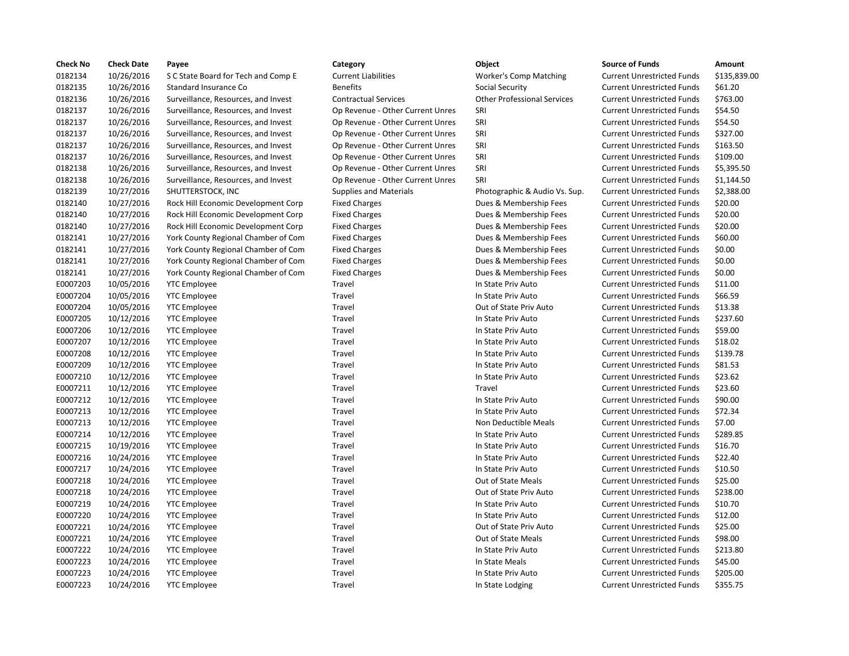| <b>Check No</b> | <b>Check Date</b> | Payee                               | Category                         | Object                             | <b>Source of Funds</b>            | Amount    |
|-----------------|-------------------|-------------------------------------|----------------------------------|------------------------------------|-----------------------------------|-----------|
| 0182134         | 10/26/2016        | S C State Board for Tech and Comp E | <b>Current Liabilities</b>       | <b>Worker's Comp Matching</b>      | <b>Current Unrestricted Funds</b> | \$135,83  |
| 0182135         | 10/26/2016        | Standard Insurance Co               | <b>Benefits</b>                  | Social Security                    | <b>Current Unrestricted Funds</b> | \$61.20   |
| 0182136         | 10/26/2016        | Surveillance, Resources, and Invest | <b>Contractual Services</b>      | <b>Other Professional Services</b> | <b>Current Unrestricted Funds</b> | \$763.00  |
| 0182137         | 10/26/2016        | Surveillance, Resources, and Invest | Op Revenue - Other Current Unres | SRI                                | <b>Current Unrestricted Funds</b> | \$54.50   |
| 0182137         | 10/26/2016        | Surveillance, Resources, and Invest | Op Revenue - Other Current Unres | SRI                                | <b>Current Unrestricted Funds</b> | \$54.50   |
| 0182137         | 10/26/2016        | Surveillance, Resources, and Invest | Op Revenue - Other Current Unres | SRI                                | <b>Current Unrestricted Funds</b> | \$327.00  |
| 0182137         | 10/26/2016        | Surveillance, Resources, and Invest | Op Revenue - Other Current Unres | SRI                                | <b>Current Unrestricted Funds</b> | \$163.50  |
| 0182137         | 10/26/2016        | Surveillance, Resources, and Invest | Op Revenue - Other Current Unres | SRI                                | <b>Current Unrestricted Funds</b> | \$109.00  |
| 0182138         | 10/26/2016        | Surveillance, Resources, and Invest | Op Revenue - Other Current Unres | SRI                                | <b>Current Unrestricted Funds</b> | \$5,395.5 |
| 0182138         | 10/26/2016        | Surveillance, Resources, and Invest | Op Revenue - Other Current Unres | SRI                                | <b>Current Unrestricted Funds</b> | \$1,144.5 |
| 0182139         | 10/27/2016        | SHUTTERSTOCK, INC                   | <b>Supplies and Materials</b>    | Photographic & Audio Vs. Sup.      | <b>Current Unrestricted Funds</b> | \$2,388.0 |
| 0182140         | 10/27/2016        | Rock Hill Economic Development Corp | <b>Fixed Charges</b>             | Dues & Membership Fees             | <b>Current Unrestricted Funds</b> | \$20.00   |
| 0182140         | 10/27/2016        | Rock Hill Economic Development Corp | <b>Fixed Charges</b>             | Dues & Membership Fees             | <b>Current Unrestricted Funds</b> | \$20.00   |
| 0182140         | 10/27/2016        | Rock Hill Economic Development Corp | <b>Fixed Charges</b>             | Dues & Membership Fees             | <b>Current Unrestricted Funds</b> | \$20.00   |
| 0182141         | 10/27/2016        | York County Regional Chamber of Com | <b>Fixed Charges</b>             | Dues & Membership Fees             | <b>Current Unrestricted Funds</b> | \$60.00   |
| 0182141         | 10/27/2016        | York County Regional Chamber of Com | <b>Fixed Charges</b>             | Dues & Membership Fees             | <b>Current Unrestricted Funds</b> | \$0.00    |
| 0182141         | 10/27/2016        | York County Regional Chamber of Com | <b>Fixed Charges</b>             | Dues & Membership Fees             | <b>Current Unrestricted Funds</b> | \$0.00    |
| 0182141         | 10/27/2016        | York County Regional Chamber of Com | <b>Fixed Charges</b>             | Dues & Membership Fees             | <b>Current Unrestricted Funds</b> | \$0.00    |
| E0007203        | 10/05/2016        | <b>YTC Employee</b>                 | Travel                           | In State Priv Auto                 | <b>Current Unrestricted Funds</b> | \$11.00   |
| E0007204        | 10/05/2016        | <b>YTC Employee</b>                 | Travel                           | In State Priv Auto                 | <b>Current Unrestricted Funds</b> | \$66.59   |
| E0007204        | 10/05/2016        | <b>YTC Employee</b>                 | Travel                           | Out of State Priv Auto             | <b>Current Unrestricted Funds</b> | \$13.38   |
| E0007205        | 10/12/2016        | <b>YTC Employee</b>                 | Travel                           | In State Priv Auto                 | <b>Current Unrestricted Funds</b> | \$237.60  |
| E0007206        | 10/12/2016        | <b>YTC Employee</b>                 | Travel                           | In State Priv Auto                 | <b>Current Unrestricted Funds</b> | \$59.00   |
| E0007207        | 10/12/2016        | <b>YTC Employee</b>                 | Travel                           | In State Priv Auto                 | <b>Current Unrestricted Funds</b> | \$18.02   |
| E0007208        | 10/12/2016        | <b>YTC Employee</b>                 | Travel                           | In State Priv Auto                 | <b>Current Unrestricted Funds</b> | \$139.78  |
| E0007209        | 10/12/2016        | <b>YTC Employee</b>                 | Travel                           | In State Priv Auto                 | <b>Current Unrestricted Funds</b> | \$81.53   |
| E0007210        | 10/12/2016        | <b>YTC Employee</b>                 | Travel                           | In State Priv Auto                 | <b>Current Unrestricted Funds</b> | \$23.62   |
| E0007211        | 10/12/2016        | <b>YTC</b> Employee                 | Travel                           | Travel                             | <b>Current Unrestricted Funds</b> | \$23.60   |
| E0007212        | 10/12/2016        | <b>YTC Employee</b>                 | Travel                           | In State Priv Auto                 | <b>Current Unrestricted Funds</b> | \$90.00   |
| E0007213        | 10/12/2016        | <b>YTC Employee</b>                 | Travel                           | In State Priv Auto                 | <b>Current Unrestricted Funds</b> | \$72.34   |
| E0007213        | 10/12/2016        | <b>YTC Employee</b>                 | Travel                           | Non Deductible Meals               | <b>Current Unrestricted Funds</b> | \$7.00    |
| E0007214        | 10/12/2016        | <b>YTC Employee</b>                 | Travel                           | In State Priv Auto                 | <b>Current Unrestricted Funds</b> | \$289.85  |
| E0007215        | 10/19/2016        | <b>YTC Employee</b>                 | Travel                           | In State Priv Auto                 | <b>Current Unrestricted Funds</b> | \$16.70   |
| E0007216        | 10/24/2016        | <b>YTC Employee</b>                 | Travel                           | In State Priv Auto                 | <b>Current Unrestricted Funds</b> | \$22.40   |
| E0007217        | 10/24/2016        | <b>YTC</b> Employee                 | Travel                           | In State Priv Auto                 | <b>Current Unrestricted Funds</b> | \$10.50   |
| E0007218        | 10/24/2016        | <b>YTC Employee</b>                 | Travel                           | Out of State Meals                 | <b>Current Unrestricted Funds</b> | \$25.00   |
| E0007218        | 10/24/2016        | <b>YTC Employee</b>                 | Travel                           | Out of State Priv Auto             | <b>Current Unrestricted Funds</b> | \$238.00  |
| E0007219        | 10/24/2016        | <b>YTC Employee</b>                 | Travel                           | In State Priv Auto                 | <b>Current Unrestricted Funds</b> | \$10.70   |
| E0007220        | 10/24/2016        | <b>YTC Employee</b>                 | Travel                           | In State Priv Auto                 | <b>Current Unrestricted Funds</b> | \$12.00   |
| E0007221        | 10/24/2016        | <b>YTC Employee</b>                 | Travel                           | Out of State Priv Auto             | <b>Current Unrestricted Funds</b> | \$25.00   |
| E0007221        | 10/24/2016        | <b>YTC Employee</b>                 | Travel                           | Out of State Meals                 | <b>Current Unrestricted Funds</b> | \$98.00   |
| E0007222        | 10/24/2016        | <b>YTC Employee</b>                 | Travel                           | In State Priv Auto                 | <b>Current Unrestricted Funds</b> | \$213.80  |
| E0007223        | 10/24/2016        | <b>YTC Employee</b>                 | Travel                           | In State Meals                     | <b>Current Unrestricted Funds</b> | \$45.00   |
| E0007223        | 10/24/2016        | <b>YTC Employee</b>                 | Travel                           | In State Priv Auto                 | <b>Current Unrestricted Funds</b> | \$205.00  |
| E0007223        | 10/24/2016        | <b>YTC Employee</b>                 | Travel                           | In State Lodging                   | <b>Current Unrestricted Funds</b> | \$355.75  |

|    | Category                         | Object                             | <b>Source of Funds</b>            | Amount    |
|----|----------------------------------|------------------------------------|-----------------------------------|-----------|
|    | <b>Current Liabilities</b>       | <b>Worker's Comp Matching</b>      | <b>Current Unrestricted Funds</b> | \$135,83  |
|    | <b>Benefits</b>                  | Social Security                    | <b>Current Unrestricted Funds</b> | \$61.20   |
|    | <b>Contractual Services</b>      | <b>Other Professional Services</b> | <b>Current Unrestricted Funds</b> | \$763.00  |
|    | Op Revenue - Other Current Unres | SRI                                | <b>Current Unrestricted Funds</b> | \$54.50   |
|    | Op Revenue - Other Current Unres | SRI                                | <b>Current Unrestricted Funds</b> | \$54.50   |
|    | Op Revenue - Other Current Unres | SRI                                | <b>Current Unrestricted Funds</b> | \$327.00  |
|    | Op Revenue - Other Current Unres | SRI                                | <b>Current Unrestricted Funds</b> | \$163.50  |
|    | Op Revenue - Other Current Unres | SRI                                | <b>Current Unrestricted Funds</b> | \$109.00  |
|    | Op Revenue - Other Current Unres | SRI                                | <b>Current Unrestricted Funds</b> | \$5,395.5 |
|    | Op Revenue - Other Current Unres | SRI                                | <b>Current Unrestricted Funds</b> | \$1,144.5 |
|    | <b>Supplies and Materials</b>    | Photographic & Audio Vs. Sup.      | <b>Current Unrestricted Funds</b> | \$2,388.0 |
| rp | <b>Fixed Charges</b>             | Dues & Membership Fees             | <b>Current Unrestricted Funds</b> | \$20.00   |
| rp | <b>Fixed Charges</b>             | Dues & Membership Fees             | <b>Current Unrestricted Funds</b> | \$20.00   |
| rp | <b>Fixed Charges</b>             | Dues & Membership Fees             | <b>Current Unrestricted Funds</b> | \$20.00   |
| ,m | <b>Fixed Charges</b>             | Dues & Membership Fees             | <b>Current Unrestricted Funds</b> | \$60.00   |
| m  | <b>Fixed Charges</b>             | Dues & Membership Fees             | <b>Current Unrestricted Funds</b> | \$0.00    |
| 'n | <b>Fixed Charges</b>             | Dues & Membership Fees             | <b>Current Unrestricted Funds</b> | \$0.00    |
| 'n | <b>Fixed Charges</b>             | Dues & Membership Fees             | <b>Current Unrestricted Funds</b> | \$0.00    |
|    | Travel                           | In State Priv Auto                 | <b>Current Unrestricted Funds</b> | \$11.00   |
|    | Travel                           | In State Priv Auto                 | <b>Current Unrestricted Funds</b> | \$66.59   |
|    | Travel                           | Out of State Priv Auto             | <b>Current Unrestricted Funds</b> | \$13.38   |
|    | Travel                           | In State Priv Auto                 | <b>Current Unrestricted Funds</b> | \$237.60  |
|    | Travel                           | In State Priv Auto                 | <b>Current Unrestricted Funds</b> | \$59.00   |
|    | Travel                           | In State Priv Auto                 | <b>Current Unrestricted Funds</b> | \$18.02   |
|    | Travel                           | In State Priv Auto                 | <b>Current Unrestricted Funds</b> | \$139.78  |
|    | Travel                           | In State Priv Auto                 | <b>Current Unrestricted Funds</b> | \$81.53   |
|    | Travel                           | In State Priv Auto                 | <b>Current Unrestricted Funds</b> | \$23.62   |
|    | <b>Travel</b>                    | Travel                             | <b>Current Unrestricted Funds</b> | \$23.60   |
|    | Travel                           | In State Priv Auto                 | <b>Current Unrestricted Funds</b> | \$90.00   |
|    | <b>Travel</b>                    | In State Priv Auto                 | <b>Current Unrestricted Funds</b> | \$72.34   |
|    | Travel                           | Non Deductible Meals               | <b>Current Unrestricted Funds</b> | \$7.00    |
|    | Travel                           | In State Priv Auto                 | <b>Current Unrestricted Funds</b> | \$289.85  |
|    | Travel                           | In State Priv Auto                 | <b>Current Unrestricted Funds</b> | \$16.70   |
|    | Travel                           | In State Priv Auto                 | <b>Current Unrestricted Funds</b> | \$22.40   |
|    | Travel                           | In State Priv Auto                 | <b>Current Unrestricted Funds</b> | \$10.50   |
|    | Travel                           | Out of State Meals                 | <b>Current Unrestricted Funds</b> | \$25.00   |
|    | <b>Travel</b>                    | Out of State Priv Auto             | <b>Current Unrestricted Funds</b> | \$238.00  |
|    | Travel                           | In State Priv Auto                 | <b>Current Unrestricted Funds</b> | \$10.70   |
|    | Travel                           | In State Priv Auto                 | <b>Current Unrestricted Funds</b> | \$12.00   |
|    | Travel                           | Out of State Priv Auto             | <b>Current Unrestricted Funds</b> | \$25.00   |
|    | Travel                           | Out of State Meals                 | <b>Current Unrestricted Funds</b> | \$98.00   |
|    | Travel                           | In State Priv Auto                 | <b>Current Unrestricted Funds</b> | \$213.80  |
|    | Travel                           | In State Meals                     | <b>Current Unrestricted Funds</b> | \$45.00   |
|    | Travel                           | In State Priv Auto                 | <b>Current Unrestricted Funds</b> | \$205.00  |
|    | Travel                           |                                    | <b>Current Unrestricted Funds</b> | \$355.75  |
|    |                                  | In State Lodging                   |                                   |           |